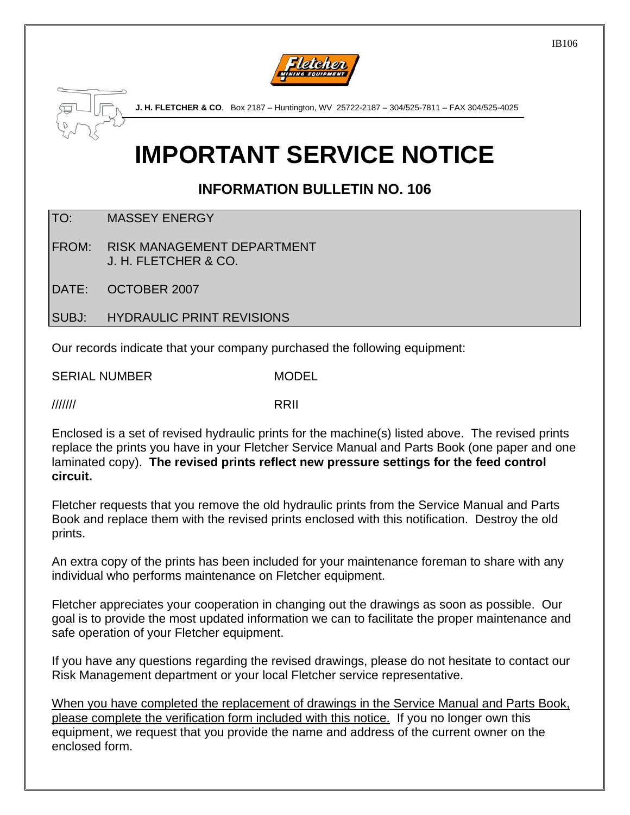



# **IMPORTANT SERVICE NOTICE**

### **INFORMATION BULLETIN NO. 106**

TO: MASSEY ENERGY

FROM: RISK MANAGEMENT DEPARTMENT J. H. FLETCHER & CO.

DATE: OCTOBER 2007

SUBJ: HYDRAULIC PRINT REVISIONS

Our records indicate that your company purchased the following equipment:

SERIAL NUMBER MODEL

/////// RRII

Enclosed is a set of revised hydraulic prints for the machine(s) listed above. The revised prints replace the prints you have in your Fletcher Service Manual and Parts Book (one paper and one laminated copy). **The revised prints reflect new pressure settings for the feed control circuit.**

Fletcher requests that you remove the old hydraulic prints from the Service Manual and Parts Book and replace them with the revised prints enclosed with this notification. Destroy the old prints.

An extra copy of the prints has been included for your maintenance foreman to share with any individual who performs maintenance on Fletcher equipment.

Fletcher appreciates your cooperation in changing out the drawings as soon as possible. Our goal is to provide the most updated information we can to facilitate the proper maintenance and safe operation of your Fletcher equipment.

If you have any questions regarding the revised drawings, please do not hesitate to contact our Risk Management department or your local Fletcher service representative.

When you have completed the replacement of drawings in the Service Manual and Parts Book, please complete the verification form included with this notice. If you no longer own this equipment, we request that you provide the name and address of the current owner on the enclosed form.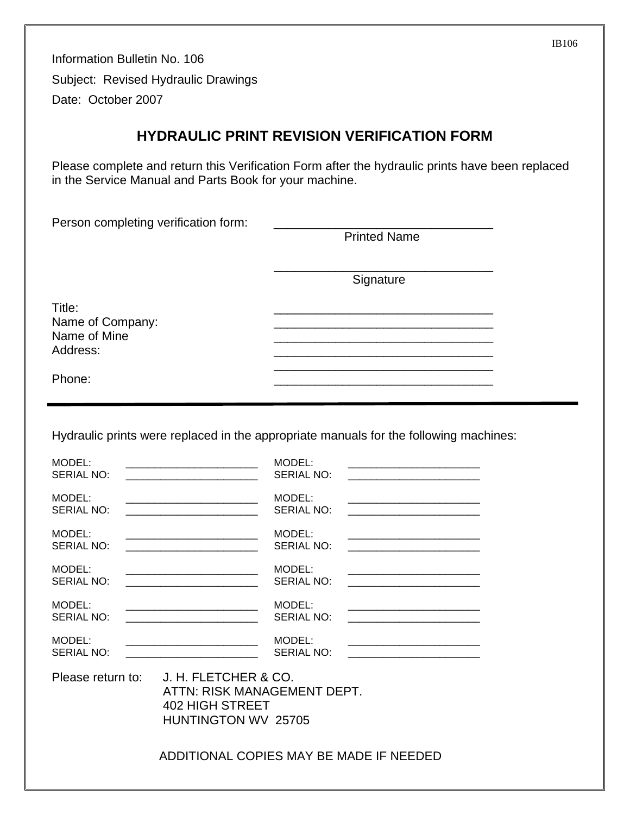Information Bulletin No. 106 Subject: Revised Hydraulic Drawings Date: October 2007

#### **HYDRAULIC PRINT REVISION VERIFICATION FORM**

Please complete and return this Verification Form after the hydraulic prints have been replaced in the Service Manual and Parts Book for your machine.

| Person completing verification form:                   | <b>Printed Name</b> |  |
|--------------------------------------------------------|---------------------|--|
|                                                        | Signature           |  |
| Title:<br>Name of Company:<br>Name of Mine<br>Address: |                     |  |
| Phone:                                                 |                     |  |

Hydraulic prints were replaced in the appropriate manuals for the following machines:

| MODEL:            |                                                                                               | MODEL:            |                                                                                                                       |
|-------------------|-----------------------------------------------------------------------------------------------|-------------------|-----------------------------------------------------------------------------------------------------------------------|
| <b>SERIAL NO:</b> |                                                                                               | <b>SERIAL NO:</b> |                                                                                                                       |
| MODEL:            |                                                                                               | MODEL:            | <u> Alexandria de la contrada de la contrada de la contrada de la contrada de la contrada de la contrada de la c</u>  |
| SERIAL NO:        |                                                                                               | SERIAL NO:        |                                                                                                                       |
| MODEL:            | <u> 1989 - Johann Stein, mars an deus Amerikaansk kommunister (</u>                           | MODEL:            |                                                                                                                       |
| <b>SERIAL NO:</b> |                                                                                               | <b>SERIAL NO:</b> |                                                                                                                       |
| MODEL:            |                                                                                               | MODEL:            | <u> 1989 - Johann John Stein, mars an de British (b. 1989)</u>                                                        |
| SERIAL NO:        |                                                                                               | SERIAL NO:        | <u> 1980 - Johann Barbara, martxa alemaniar amerikan basar da da a shekara a shekara a shekara a shekara a shekar</u> |
| MODEL:            |                                                                                               | MODEL:            |                                                                                                                       |
| SERIAL NO:        |                                                                                               | SERIAL NO:        |                                                                                                                       |
| MODEL:            |                                                                                               | MODEL:            |                                                                                                                       |
| SERIAL NO:        |                                                                                               | <b>SERIAL NO:</b> |                                                                                                                       |
| Please return to: | J. H. FLETCHER & CO.<br>ATTN: RISK MANAGEMENT DEPT.<br>402 HIGH STREET<br>HUNTINGTON WV 25705 |                   |                                                                                                                       |
|                   | ADDITIONAL COPIES MAY BE MADE IF NEEDED                                                       |                   |                                                                                                                       |